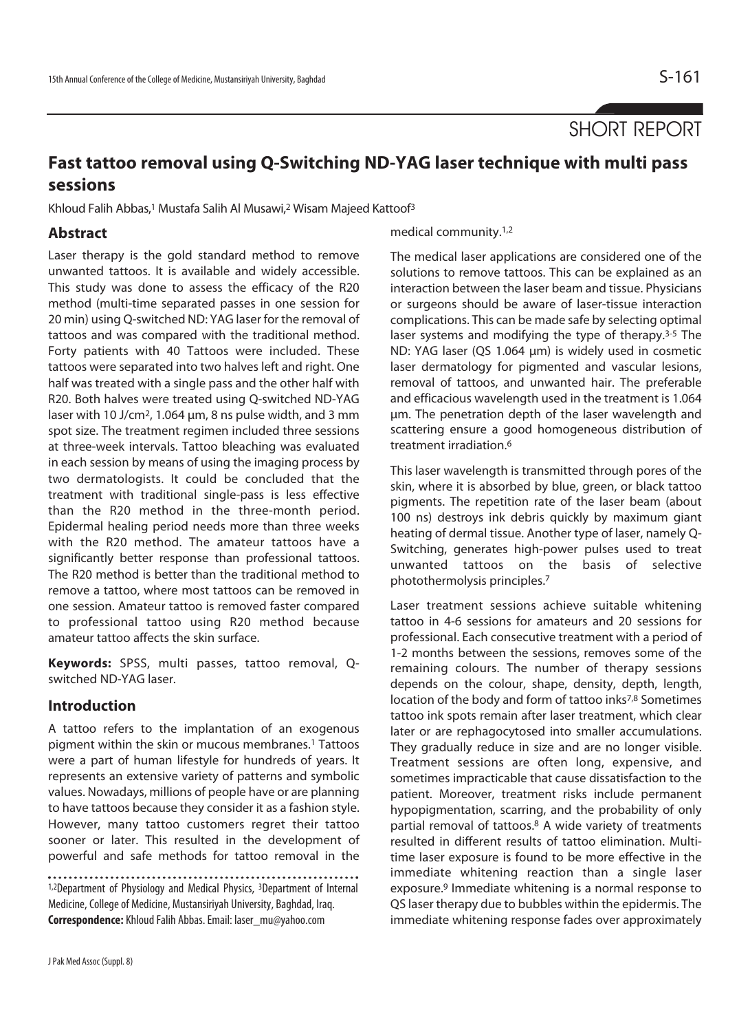SHORT REPORT

# **Fast tattoo removal using Q-Switching ND-YAG laser technique with multi pass sessions**

Khloud Falih Abbas,<sup>1</sup> Mustafa Salih Al Musawi,<sup>2</sup> Wisam Majeed Kattoof<sup>3</sup>

## **Abstract**

Laser therapy is the gold standard method to remove unwanted tattoos. It is available and widely accessible. This study was done to assess the efficacy of the R20 method (multi-time separated passes in one session for 20 min) using Q-switched ND: YAG laser for the removal of tattoos and was compared with the traditional method. Forty patients with 40 Tattoos were included. These tattoos were separated into two halves left and right. One half was treated with a single pass and the other half with R20. Both halves were treated using Q-switched ND-YAG laser with 10 J/cm2, 1.064 μm, 8 ns pulse width, and 3 mm spot size. The treatment regimen included three sessions at three-week intervals. Tattoo bleaching was evaluated in each session by means of using the imaging process by two dermatologists. It could be concluded that the treatment with traditional single-pass is less effective than the R20 method in the three-month period. Epidermal healing period needs more than three weeks with the R20 method. The amateur tattoos have a significantly better response than professional tattoos. The R20 method is better than the traditional method to remove a tattoo, where most tattoos can be removed in one session. Amateur tattoo is removed faster compared to professional tattoo using R20 method because amateur tattoo affects the skin surface.

**Keywords:** SPSS, multi passes, tattoo removal, Qswitched ND-YAG laser.

#### **Introduction**

A tattoo refers to the implantation of an exogenous pigment within the skin or mucous membranes.1 Tattoos were a part of human lifestyle for hundreds of years. It represents an extensive variety of patterns and symbolic values. Nowadays, millions of people have or are planning to have tattoos because they consider it as a fashion style. However, many tattoo customers regret their tattoo sooner or later. This resulted in the development of powerful and safe methods for tattoo removal in the

1,2Department of Physiology and Medical Physics, <sup>3</sup>Department of Internal Medicine, College of Medicine, Mustansiriyah University, Baghdad, Iraq. **Correspondence:** Khloud Falih Abbas. Email: laser\_mu@yahoo.com

medical community.1,2

The medical laser applications are considered one of the solutions to remove tattoos. This can be explained as an interaction between the laser beam and tissue. Physicians or surgeons should be aware of laser-tissue interaction complications. This can be made safe by selecting optimal laser systems and modifying the type of therapy.3-5 The ND: YAG laser (QS 1.064 μm) is widely used in cosmetic laser dermatology for pigmented and vascular lesions, removal of tattoos, and unwanted hair. The preferable and efficacious wavelength used in the treatment is 1.064 μm. The penetration depth of the laser wavelength and scattering ensure a good homogeneous distribution of treatment irradiation.6

This laser wavelength is transmitted through pores of the skin, where it is absorbed by blue, green, or black tattoo pigments. The repetition rate of the laser beam (about 100 ns) destroys ink debris quickly by maximum giant heating of dermal tissue. Another type of laser, namely Q-Switching, generates high-power pulses used to treat unwanted tattoos on the basis of selective photothermolysis principles.7

Laser treatment sessions achieve suitable whitening tattoo in 4-6 sessions for amateurs and 20 sessions for professional. Each consecutive treatment with a period of 1-2 months between the sessions, removes some of the remaining colours. The number of therapy sessions depends on the colour, shape, density, depth, length, location of the body and form of tattoo inks7,8 Sometimes tattoo ink spots remain after laser treatment, which clear later or are rephagocytosed into smaller accumulations. They gradually reduce in size and are no longer visible. Treatment sessions are often long, expensive, and sometimes impracticable that cause dissatisfaction to the patient. Moreover, treatment risks include permanent hypopigmentation, scarring, and the probability of only partial removal of tattoos.8 A wide variety of treatments resulted in different results of tattoo elimination. Multitime laser exposure is found to be more effective in the immediate whitening reaction than a single laser exposure.9 Immediate whitening is a normal response to QS laser therapy due to bubbles within the epidermis. The immediate whitening response fades over approximately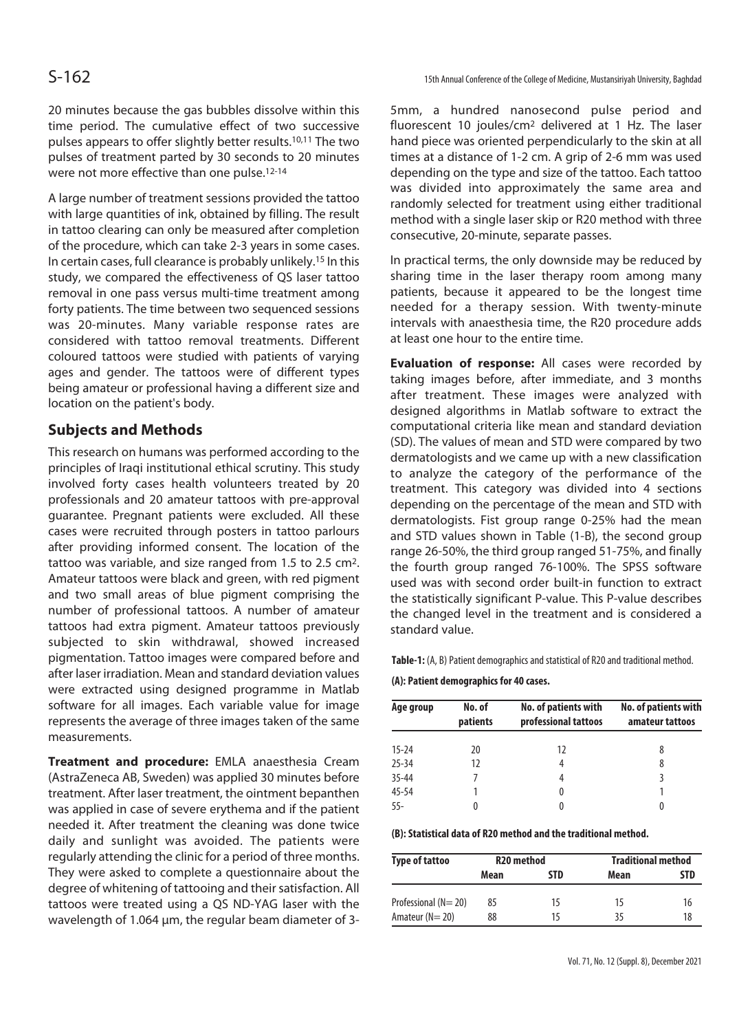20 minutes because the gas bubbles dissolve within this time period. The cumulative effect of two successive pulses appears to offer slightly better results.10,11 The two pulses of treatment parted by 30 seconds to 20 minutes were not more effective than one pulse.12-14

A large number of treatment sessions provided the tattoo with large quantities of ink, obtained by filling. The result in tattoo clearing can only be measured after completion of the procedure, which can take 2-3 years in some cases. In certain cases, full clearance is probably unlikely.15 In this study, we compared the effectiveness of QS laser tattoo removal in one pass versus multi-time treatment among forty patients. The time between two sequenced sessions was 20-minutes. Many variable response rates are considered with tattoo removal treatments. Different coloured tattoos were studied with patients of varying ages and gender. The tattoos were of different types being amateur or professional having a different size and location on the patient's body.

#### **Subjects and Methods**

This research on humans was performed according to the principles of Iraqi institutional ethical scrutiny. This study involved forty cases health volunteers treated by 20 professionals and 20 amateur tattoos with pre-approval guarantee. Pregnant patients were excluded. All these cases were recruited through posters in tattoo parlours after providing informed consent. The location of the tattoo was variable, and size ranged from 1.5 to 2.5 cm2. Amateur tattoos were black and green, with red pigment and two small areas of blue pigment comprising the number of professional tattoos. A number of amateur tattoos had extra pigment. Amateur tattoos previously subjected to skin withdrawal, showed increased pigmentation. Tattoo images were compared before and after laser irradiation. Mean and standard deviation values were extracted using designed programme in Matlab software for all images. Each variable value for image represents the average of three images taken of the same measurements.

**Treatment and procedure:** EMLA anaesthesia Cream (AstraZeneca AB, Sweden) was applied 30 minutes before treatment. After laser treatment, the ointment bepanthen was applied in case of severe erythema and if the patient needed it. After treatment the cleaning was done twice daily and sunlight was avoided. The patients were regularly attending the clinic for a period of three months. They were asked to complete a questionnaire about the degree of whitening of tattooing and their satisfaction. All tattoos were treated using a QS ND-YAG laser with the wavelength of 1.064 μm, the regular beam diameter of 35mm, a hundred nanosecond pulse period and fluorescent 10 joules/cm2 delivered at 1 Hz. The laser hand piece was oriented perpendicularly to the skin at all times at a distance of 1-2 cm. A grip of 2-6 mm was used depending on the type and size of the tattoo. Each tattoo was divided into approximately the same area and randomly selected for treatment using either traditional method with a single laser skip or R20 method with three consecutive, 20-minute, separate passes.

In practical terms, the only downside may be reduced by sharing time in the laser therapy room among many patients, because it appeared to be the longest time needed for a therapy session. With twenty-minute intervals with anaesthesia time, the R20 procedure adds at least one hour to the entire time.

**Evaluation of response:** All cases were recorded by taking images before, after immediate, and 3 months after treatment. These images were analyzed with designed algorithms in Matlab software to extract the computational criteria like mean and standard deviation (SD). The values of mean and STD were compared by two dermatologists and we came up with a new classification to analyze the category of the performance of the treatment. This category was divided into 4 sections depending on the percentage of the mean and STD with dermatologists. Fist group range 0-25% had the mean and STD values shown in Table (1-B), the second group range 26-50%, the third group ranged 51-75%, and finally the fourth group ranged 76-100%. The SPSS software used was with second order built-in function to extract the statistically significant P-value. This P-value describes the changed level in the treatment and is considered a standard value.

**Table-1:** (A, B) Patient demographics and statistical of R20 and traditional method.

**(A): Patient demographics for 40 cases.**

| Age group | No. of<br>patients | No. of patients with<br>professional tattoos | No. of patients with<br>amateur tattoos |  |
|-----------|--------------------|----------------------------------------------|-----------------------------------------|--|
| $15 - 24$ | 20                 | 12                                           | 8                                       |  |
| $25 - 34$ | 12                 | 4                                            | 8                                       |  |
| $35 - 44$ |                    | 4                                            |                                         |  |
| $45 - 54$ |                    | 0                                            |                                         |  |
| $55 -$    | 0                  | 0                                            | 0                                       |  |

**(B): Statistical data of R20 method and the traditional method.**

| <b>Type of tattoo</b> | R <sub>20</sub> method |     | <b>Traditional method</b> |     |
|-----------------------|------------------------|-----|---------------------------|-----|
|                       | Mean                   | STD | Mean                      | STD |
| Professional (N=20)   | 85                     | 15  | 15                        | 16  |
| Amateur $(N = 20)$    | 88                     | 15  | 35                        | 18  |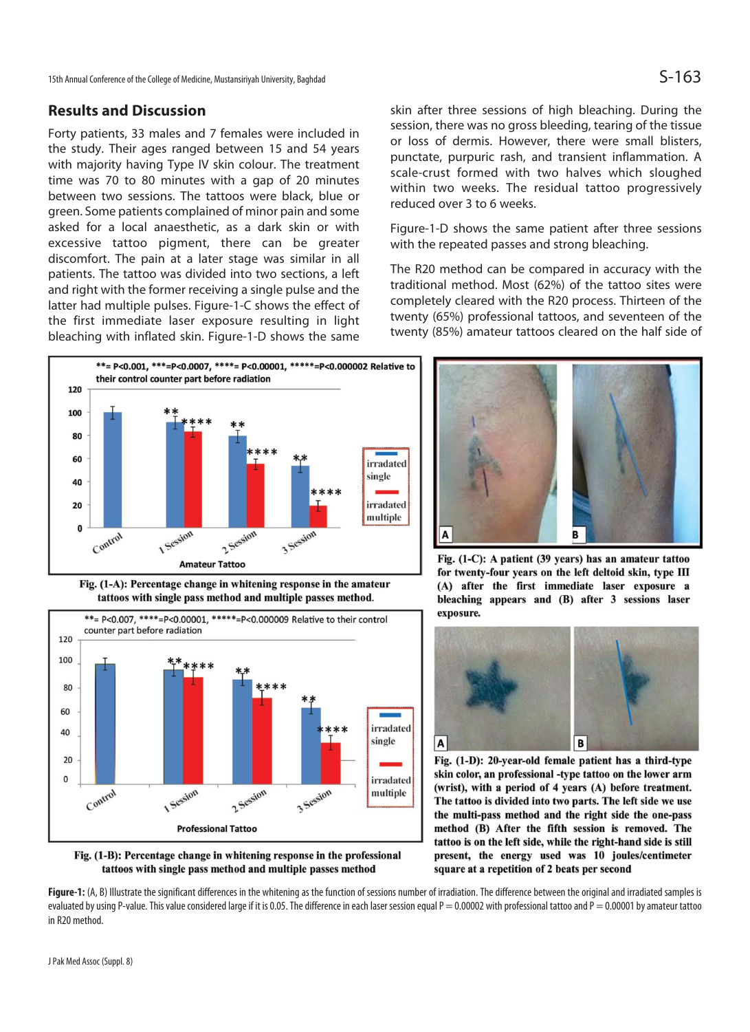#### **Results and Discussion**

Forty patients, 33 males and 7 females were included in the study. Their ages ranged between 15 and 54 years with majority having Type IV skin colour. The treatment time was 70 to 80 minutes with a gap of 20 minutes between two sessions. The tattoos were black, blue or green. Some patients complained of minor pain and some asked for a local anaesthetic, as a dark skin or with excessive tattoo pigment, there can be greater discomfort. The pain at a later stage was similar in all patients. The tattoo was divided into two sections, a left and right with the former receiving a single pulse and the latter had multiple pulses. Figure-1-C shows the effect of the first immediate laser exposure resulting in light bleaching with inflated skin. Figure-1-D shows the same



Fig. (1-A): Percentage change in whitening response in the amateur tattoos with single pass method and multiple passes method.





skin after three sessions of high bleaching. During the session, there was no gross bleeding, tearing of the tissue or loss of dermis. However, there were small blisters, punctate, purpuric rash, and transient inflammation. A scale-crust formed with two halves which sloughed within two weeks. The residual tattoo progressively reduced over 3 to 6 weeks.

Figure-1-D shows the same patient after three sessions with the repeated passes and strong bleaching.

The R20 method can be compared in accuracy with the traditional method. Most (62%) of the tattoo sites were completely cleared with the R20 process. Thirteen of the twenty (65%) professional tattoos, and seventeen of the twenty (85%) amateur tattoos cleared on the half side of



Fig. (1-C): A patient (39 years) has an amateur tattoo for twenty-four years on the left deltoid skin, type III (A) after the first immediate laser exposure a bleaching appears and (B) after 3 sessions laser exposure.



Fig. (1-D): 20-year-old female patient has a third-type skin color, an professional -type tattoo on the lower arm (wrist), with a period of 4 years (A) before treatment. The tattoo is divided into two parts. The left side we use the multi-pass method and the right side the one-pass method (B) After the fifth session is removed. The tattoo is on the left side, while the right-hand side is still present, the energy used was 10 joules/centimeter square at a repetition of 2 beats per second

Figure-1: (A, B) Illustrate the significant differences in the whitening as the function of sessions number of irradiation. The difference between the original and irradiated samples is evaluated by using P-value. This value considered large if it is 0.05. The difference in each laser session equal  $P = 0.00002$  with professional tattoo and  $P = 0.00001$  by amateur tattoo in R20 method.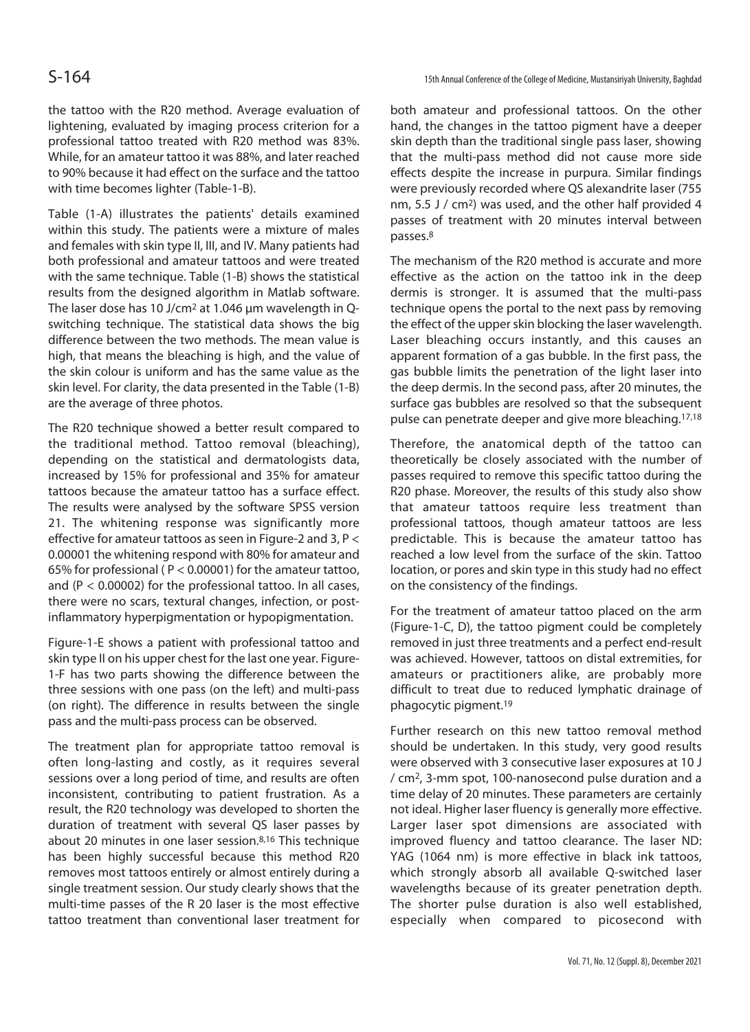the tattoo with the R20 method. Average evaluation of lightening, evaluated by imaging process criterion for a professional tattoo treated with R20 method was 83%. While, for an amateur tattoo it was 88%, and later reached to 90% because it had effect on the surface and the tattoo with time becomes lighter (Table-1-B).

Table (1-A) illustrates the patients' details examined within this study. The patients were a mixture of males and females with skin type II, III, and IV. Many patients had both professional and amateur tattoos and were treated with the same technique. Table (1-B) shows the statistical results from the designed algorithm in Matlab software. The laser dose has 10 J/cm2 at 1.046 μm wavelength in Qswitching technique. The statistical data shows the big difference between the two methods. The mean value is high, that means the bleaching is high, and the value of the skin colour is uniform and has the same value as the skin level. For clarity, the data presented in the Table (1-B) are the average of three photos.

The R20 technique showed a better result compared to the traditional method. Tattoo removal (bleaching), depending on the statistical and dermatologists data, increased by 15% for professional and 35% for amateur tattoos because the amateur tattoo has a surface effect. The results were analysed by the software SPSS version 21. The whitening response was significantly more effective for amateur tattoos as seen in Figure-2 and 3, P < 0.00001 the whitening respond with 80% for amateur and 65% for professional ( P < 0.00001) for the amateur tattoo, and ( $P < 0.00002$ ) for the professional tattoo. In all cases, there were no scars, textural changes, infection, or postinflammatory hyperpigmentation or hypopigmentation.

Figure-1-E shows a patient with professional tattoo and skin type II on his upper chest for the last one year. Figure-1-F has two parts showing the difference between the three sessions with one pass (on the left) and multi-pass (on right). The difference in results between the single pass and the multi-pass process can be observed.

The treatment plan for appropriate tattoo removal is often long-lasting and costly, as it requires several sessions over a long period of time, and results are often inconsistent, contributing to patient frustration. As a result, the R20 technology was developed to shorten the duration of treatment with several QS laser passes by about 20 minutes in one laser session.8,16 This technique has been highly successful because this method R20 removes most tattoos entirely or almost entirely during a single treatment session. Our study clearly shows that the multi-time passes of the R 20 laser is the most effective tattoo treatment than conventional laser treatment for

both amateur and professional tattoos. On the other hand, the changes in the tattoo pigment have a deeper skin depth than the traditional single pass laser, showing that the multi-pass method did not cause more side effects despite the increase in purpura. Similar findings were previously recorded where QS alexandrite laser (755 nm, 5.5 J / cm2) was used, and the other half provided 4 passes of treatment with 20 minutes interval between passes.8

The mechanism of the R20 method is accurate and more effective as the action on the tattoo ink in the deep dermis is stronger. It is assumed that the multi-pass technique opens the portal to the next pass by removing the effect of the upper skin blocking the laser wavelength. Laser bleaching occurs instantly, and this causes an apparent formation of a gas bubble. In the first pass, the gas bubble limits the penetration of the light laser into the deep dermis. In the second pass, after 20 minutes, the surface gas bubbles are resolved so that the subsequent pulse can penetrate deeper and give more bleaching.17,18

Therefore, the anatomical depth of the tattoo can theoretically be closely associated with the number of passes required to remove this specific tattoo during the R20 phase. Moreover, the results of this study also show that amateur tattoos require less treatment than professional tattoos, though amateur tattoos are less predictable. This is because the amateur tattoo has reached a low level from the surface of the skin. Tattoo location, or pores and skin type in this study had no effect on the consistency of the findings.

For the treatment of amateur tattoo placed on the arm (Figure-1-C, D), the tattoo pigment could be completely removed in just three treatments and a perfect end-result was achieved. However, tattoos on distal extremities, for amateurs or practitioners alike, are probably more difficult to treat due to reduced lymphatic drainage of phagocytic pigment.19

Further research on this new tattoo removal method should be undertaken. In this study, very good results were observed with 3 consecutive laser exposures at 10 J / cm2, 3-mm spot, 100-nanosecond pulse duration and a time delay of 20 minutes. These parameters are certainly not ideal. Higher laser fluency is generally more effective. Larger laser spot dimensions are associated with improved fluency and tattoo clearance. The laser ND: YAG (1064 nm) is more effective in black ink tattoos, which strongly absorb all available Q-switched laser wavelengths because of its greater penetration depth. The shorter pulse duration is also well established, especially when compared to picosecond with